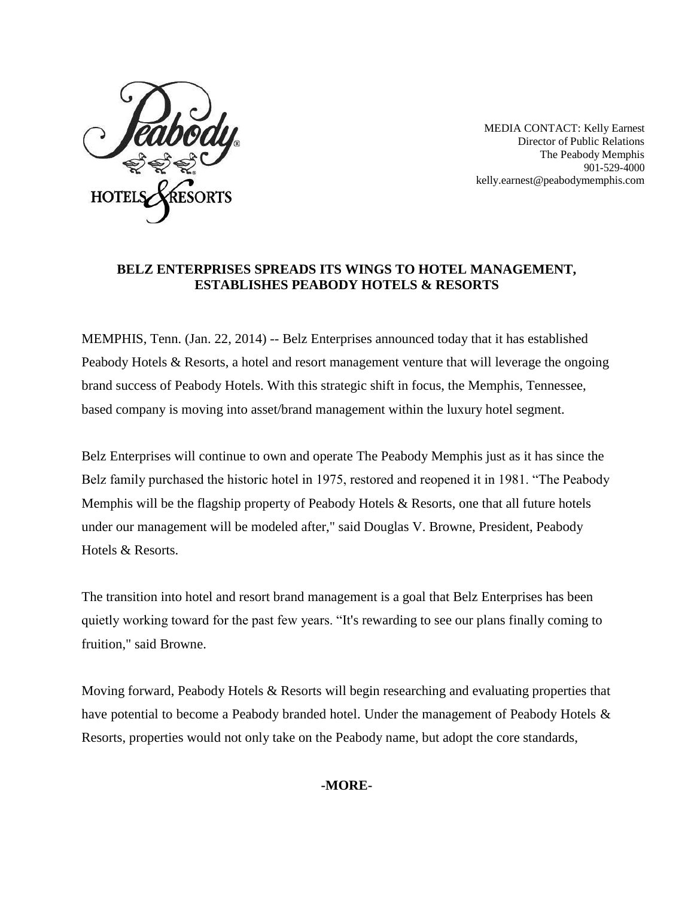

MEDIA CONTACT: Kelly Earnest Director of Public Relations The Peabody Memphis 901-529-4000 [kelly.earnest@peabodymemphis.com](mailto:kelly.earnest@peabodymemphis.com)

## **BELZ ENTERPRISES SPREADS ITS WINGS TO HOTEL MANAGEMENT, ESTABLISHES PEABODY HOTELS & RESORTS**

MEMPHIS, Tenn. (Jan. 22, 2014) -- Belz Enterprises announced today that it has established Peabody Hotels & Resorts, a hotel and resort management venture that will leverage the ongoing brand success of Peabody Hotels. With this strategic shift in focus, the Memphis, Tennessee, based company is moving into asset/brand management within the luxury hotel segment.

Belz Enterprises will continue to own and operate The Peabody Memphis just as it has since the Belz family purchased the historic hotel in 1975, restored and reopened it in 1981. "The Peabody Memphis will be the flagship property of Peabody Hotels & Resorts, one that all future hotels under our management will be modeled after," said Douglas V. Browne, President, Peabody Hotels & Resorts.

The transition into hotel and resort brand management is a goal that Belz Enterprises has been quietly working toward for the past few years. "It's rewarding to see our plans finally coming to fruition," said Browne.

Moving forward, Peabody Hotels & Resorts will begin researching and evaluating properties that have potential to become a Peabody branded hotel. Under the management of Peabody Hotels & Resorts, properties would not only take on the Peabody name, but adopt the core standards,

## **-MORE-**